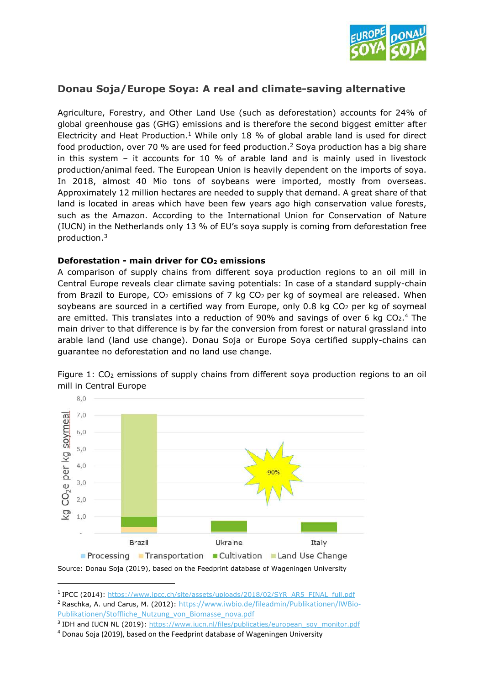

# **Donau Soja/Europe Soya: A real and climate-saving alternative**

Agriculture, Forestry, and Other Land Use (such as deforestation) accounts for 24% of global greenhouse gas (GHG) emissions and is therefore the second biggest emitter after Electricity and Heat Production.<sup>1</sup> While only 18 % of global arable land is used for direct food production, over 70 % are used for feed production.<sup>2</sup> Soya production has a big share in this system – it accounts for 10 % of arable land and is mainly used in livestock production/animal feed. The European Union is heavily dependent on the imports of soya. In 2018, almost 40 Mio tons of soybeans were imported, mostly from overseas. Approximately 12 million hectares are needed to supply that demand. A great share of that land is located in areas which have been few years ago high conservation value forests, such as the Amazon. According to the International Union for Conservation of Nature (IUCN) in the Netherlands only 13 % of EU's soya supply is coming from deforestation free production.<sup>3</sup>

#### **Deforestation - main driver for CO2 emissions**

A comparison of supply chains from different soya production regions to an oil mill in Central Europe reveals clear climate saving potentials: In case of a standard supply-chain from Brazil to Europe,  $CO<sub>2</sub>$  emissions of 7 kg  $CO<sub>2</sub>$  per kg of soymeal are released. When soybeans are sourced in a certified way from Europe, only  $0.8$  kg  $CO<sub>2</sub>$  per kg of soymeal are emitted. This translates into a reduction of 90% and savings of over 6 kg  $CO<sub>2</sub>$ .<sup>4</sup> The main driver to that difference is by far the conversion from forest or natural grassland into arable land (land use change). Donau Soja or Europe Soya certified supply-chains can guarantee no deforestation and no land use change.



Figure 1:  $CO<sub>2</sub>$  emissions of supply chains from different soya production regions to an oil mill in Central Europe

<sup>&</sup>lt;sup>1</sup> IPCC (2014): https://www.ipcc.ch/site/assets/uploads/2018/02/SYR\_AR5\_FINAL\_full.pdf

<sup>&</sup>lt;sup>2</sup> Raschka, A. und Carus, M. (2012): https://www.iwbio.de/fileadmin/Publikationen/IWBio-Publikationen/Stoffliche\_Nutzung\_von\_Biomasse\_nova.pdf

<sup>&</sup>lt;sup>3</sup> IDH and IUCN NL (2019): https://www.iucn.nl/files/publicaties/european\_soy\_monitor.pdf

<sup>&</sup>lt;sup>4</sup> Donau Soja (2019), based on the Feedprint database of Wageningen University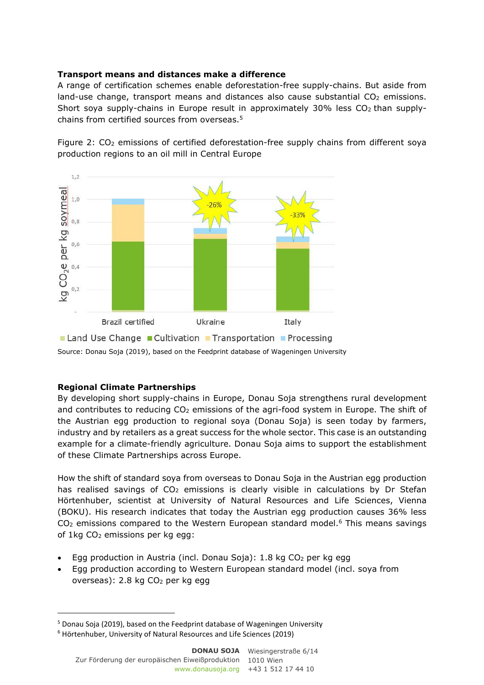### **Transport means and distances make a difference**

A range of certification schemes enable deforestation-free supply-chains. But aside from land-use change, transport means and distances also cause substantial  $CO<sub>2</sub>$  emissions. Short soya supply-chains in Europe result in approximately  $30\%$  less CO<sub>2</sub> than supplychains from certified sources from overseas.<sup>5</sup>

Figure 2: CO<sub>2</sub> emissions of certified deforestation-free supply chains from different soya production regions to an oil mill in Central Europe



Source: Donau Soja (2019), based on the Feedprint database of Wageningen University

## **Regional Climate Partnerships**

By developing short supply-chains in Europe, Donau Soja strengthens rural development and contributes to reducing  $CO<sub>2</sub>$  emissions of the agri-food system in Europe. The shift of the Austrian egg production to regional soya (Donau Soja) is seen today by farmers, industry and by retailers as a great success for the whole sector. This case is an outstanding example for a climate-friendly agriculture. Donau Soja aims to support the establishment of these Climate Partnerships across Europe.

How the shift of standard soya from overseas to Donau Soja in the Austrian egg production has realised savings of  $CO<sub>2</sub>$  emissions is clearly visible in calculations by Dr Stefan Hörtenhuber, scientist at University of Natural Resources and Life Sciences, Vienna (BOKU). His research indicates that today the Austrian egg production causes 36% less  $CO<sub>2</sub>$  emissions compared to the Western European standard model.<sup>6</sup> This means savings of 1kg CO<sub>2</sub> emissions per kg egg:

- Egg production in Austria (incl. Donau Soja): 1.8 kg CO2 per kg egg
- Egg production according to Western European standard model (incl. soya from overseas): 2.8 kg CO2 per kg egg

<sup>&</sup>lt;sup>5</sup> Donau Soja (2019), based on the Feedprint database of Wageningen University

<sup>6</sup> Hörtenhuber, University of Natural Resources and Life Sciences (2019)